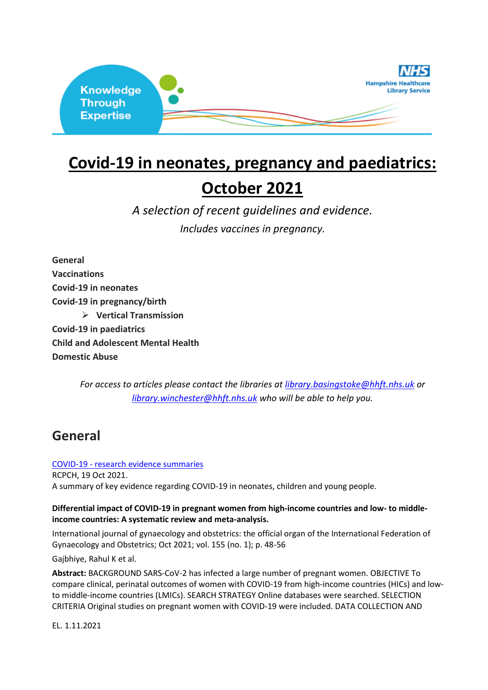

# **Covid-19 in neonates, pregnancy and paediatrics:**

# **October 2021**

*A selection of recent guidelines and evidence.*

*Includes vaccines in pregnancy.*

**General Vaccinations Covid-19 in neonates Covid-19 in pregnancy/birth** ➢ **Vertical Transmission Covid-19 in paediatrics Child and Adolescent Mental Health Domestic Abuse**

> *For access to articles please contact the libraries at [library.basingstoke@hhft.nhs.uk](mailto:library.basingstoke@hhft.nhs.uk) or [library.winchester@hhft.nhs.uk](mailto:library.winchester@hhft.nhs.uk) who will be able to help you.*

# **General**

### COVID-19 - [research evidence summaries](https://www.rcpch.ac.uk/key-topics/covid-19)

RCPCH, 19 Oct 2021. A summary of key evidence regarding COVID-19 in neonates, children and young people.

### **Differential impact of COVID-19 in pregnant women from high-income countries and low- to middleincome countries: A systematic review and meta-analysis.**

International journal of gynaecology and obstetrics: the official organ of the International Federation of Gynaecology and Obstetrics; Oct 2021; vol. 155 (no. 1); p. 48-56

Gajbhiye, Rahul K et al.

**Abstract:** BACKGROUND SARS-CoV-2 has infected a large number of pregnant women. OBJECTIVE To compare clinical, perinatal outcomes of women with COVID-19 from high-income countries (HICs) and lowto middle-income countries (LMICs). SEARCH STRATEGY Online databases were searched. SELECTION CRITERIA Original studies on pregnant women with COVID-19 were included. DATA COLLECTION AND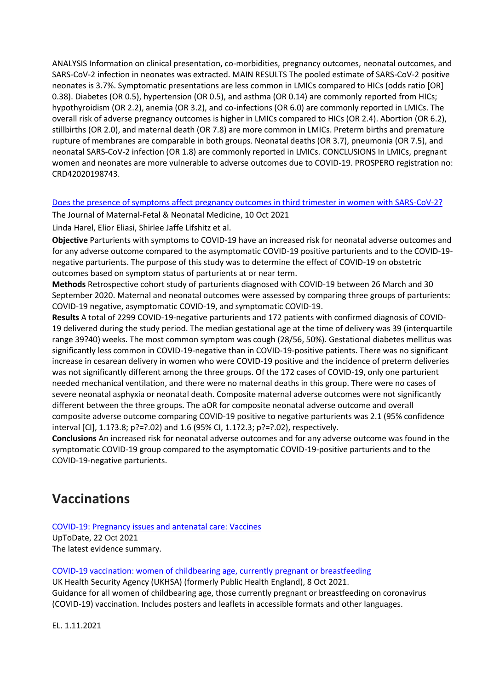ANALYSIS Information on clinical presentation, co-morbidities, pregnancy outcomes, neonatal outcomes, and SARS-CoV-2 infection in neonates was extracted. MAIN RESULTS The pooled estimate of SARS-CoV-2 positive neonates is 3.7%. Symptomatic presentations are less common in LMICs compared to HICs (odds ratio [OR] 0.38). Diabetes (OR 0.5), hypertension (OR 0.5), and asthma (OR 0.14) are commonly reported from HICs; hypothyroidism (OR 2.2), anemia (OR 3.2), and co-infections (OR 6.0) are commonly reported in LMICs. The overall risk of adverse pregnancy outcomes is higher in LMICs compared to HICs (OR 2.4). Abortion (OR 6.2), stillbirths (OR 2.0), and maternal death (OR 7.8) are more common in LMICs. Preterm births and premature rupture of membranes are comparable in both groups. Neonatal deaths (OR 3.7), pneumonia (OR 7.5), and neonatal SARS-CoV-2 infection (OR 1.8) are commonly reported in LMICs. CONCLUSIONS In LMICs, pregnant women and neonates are more vulnerable to adverse outcomes due to COVID-19. PROSPERO registration no: CRD42020198743.

### Does the [presence of symptoms affect pregnancy outcomes in third trimester in women with SARS-CoV-2?](https://www.tandfonline.com/doi/epub/10.1080/14767058.2021.1956895?needAccess=true)

The Journal of Maternal-Fetal & Neonatal Medicine, 10 Oct 2021 Linda Harel, Elior Eliasi, Shirlee Jaffe Lifshitz et al.

**Objective** Parturients with symptoms to COVID-19 have an increased risk for neonatal adverse outcomes and for any adverse outcome compared to the asymptomatic COVID-19 positive parturients and to the COVID-19 negative parturients. The purpose of this study was to determine the effect of COVID-19 on obstetric outcomes based on symptom status of parturients at or near term.

**Methods** Retrospective cohort study of parturients diagnosed with COVID-19 between 26 March and 30 September 2020. Maternal and neonatal outcomes were assessed by comparing three groups of parturients: COVID-19 negative, asymptomatic COVID-19, and symptomatic COVID-19.

**Results** A total of 2299 COVID-19-negative parturients and 172 patients with confirmed diagnosis of COVID-19 delivered during the study period. The median gestational age at the time of delivery was 39 (interquartile range 39?40) weeks. The most common symptom was cough (28/56, 50%). Gestational diabetes mellitus was significantly less common in COVID-19-negative than in COVID-19-positive patients. There was no significant increase in cesarean delivery in women who were COVID-19 positive and the incidence of preterm deliveries was not significantly different among the three groups. Of the 172 cases of COVID-19, only one parturient needed mechanical ventilation, and there were no maternal deaths in this group. There were no cases of severe neonatal asphyxia or neonatal death. Composite maternal adverse outcomes were not significantly different between the three groups. The aOR for composite neonatal adverse outcome and overall composite adverse outcome comparing COVID-19 positive to negative parturients was 2.1 (95% confidence interval [CI], 1.1?3.8; p?=?.02) and 1.6 (95% CI, 1.1?2.3; p?=?.02), respectively.

**Conclusions** An increased risk for neonatal adverse outcomes and for any adverse outcome was found in the symptomatic COVID-19 group compared to the asymptomatic COVID-19-positive parturients and to the COVID-19-negative parturients.

### **Vaccinations**

[COVID-19: Pregnancy issues and antenatal care: Vaccines](https://www.uptodate.com/contents/covid-19-pregnancy-issues-and-antenatal-care?search=covid%20vaccine%20pregnancy&source=search_result&selectedTitle=2~107&usage_type=default&display_rank=2#H1368710838)

UpToDate, 22 Oct 2021 The latest evidence summary.

[COVID-19 vaccination: women of childbearing age, currently pregnant or breastfeeding](https://www.gov.uk/government/publications/covid-19-vaccination-women-of-childbearing-age-currently-pregnant-planning-a-pregnancy-or-breastfeeding)

UK Health Security Agency (UKHSA) (formerly Public Health England), 8 Oct 2021. Guidance for all women of childbearing age, those currently pregnant or breastfeeding on coronavirus (COVID-19) vaccination. Includes posters and leaflets in accessible formats and other languages.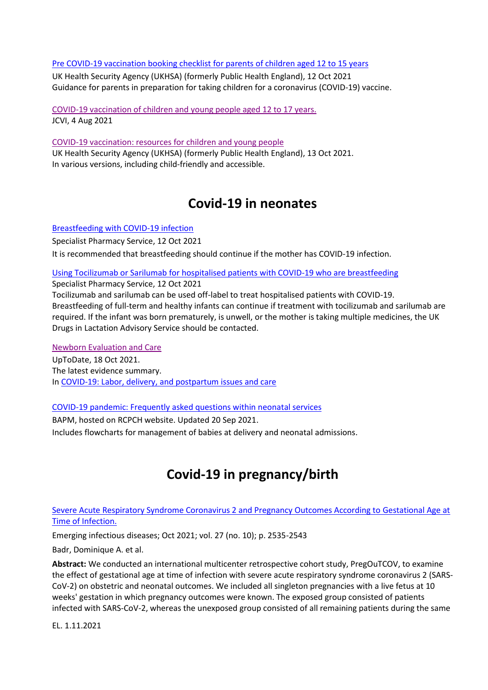### [Pre COVID-19 vaccination booking checklist for parents of children aged 12 to 15 years](https://www.gov.uk/government/publications/covid-19-vaccination-checklist-for-parents-of-children-aged-12-to-15-years/pre-covid-19-vaccination-booking-checklist-for-parents-of-children-aged-12-to-15-years)

UK Health Security Agency (UKHSA) (formerly Public Health England), 12 Oct 2021 Guidance for parents in preparation for taking children for a coronavirus (COVID-19) vaccine.

[COVID-19 vaccination of children and](https://www.gov.uk/government/publications/jcvi-statement-august-2021-covid-19-vaccination-of-children-and-young-people-aged-12-to-17-years/jcvi-statement-on-covid-19-vaccination-of-children-and-young-people-aged-12-to-17-years-4-august-2021) young people aged 12 to 17 years. JCVI, 4 Aug 2021

[COVID-19 vaccination: resources for children and young people](https://www.gov.uk/government/publications/covid-19-vaccination-resources-for-children-and-young-people) UK Health Security Agency (UKHSA) (formerly Public Health England), 13 Oct 2021. In various versions, including child-friendly and accessible.

# **Covid-19 in neonates**

[Breastfeeding with COVID-19 infection](https://www.sps.nhs.uk/articles/breastfeeding-with-covid-19-infection/)

Specialist Pharmacy Service, 12 Oct 2021 It is recommended that breastfeeding should continue if the mother has COVID-19 infection.

[Using Tocilizumab or Sarilumab for hospitalised patients with COVID-19 who are breastfeeding](https://www.sps.nhs.uk/articles/using-tocilizumab-or-sarilumab-for-hospitalised-patients-with-covid-19-who-are-breastfeeding/) Specialist Pharmacy Service, 12 Oct 2021

Tocilizumab and sarilumab can be used off-label to treat hospitalised patients with COVID-19. Breastfeeding of full-term and healthy infants can continue if treatment with tocilizumab and sarilumab are required. If the infant was born prematurely, is unwell, or the mother is taking multiple medicines, the UK Drugs in Lactation Advisory Service should be contacted.

### [Newborn Evaluation and Care](https://www.uptodate.com/contents/covid-19-labor-birth-and-postpartum-issues-and-care#H2885435742)

UpToDate, 18 Oct 2021. The latest evidence summary. I[n COVID-19: Labor, delivery, and postpartum issues and care](https://www.uptodate.com/contents/covid-19-labor-delivery-and-postpartum-issues-and-care)

### [COVID-19 pandemic: Frequently asked questions within neonatal services](https://www.rcpch.ac.uk/resources/bapm-covid-19-pandemic-frequently-asked-questions-within-neonatal-services)

BAPM, hosted on RCPCH website. Updated 20 Sep 2021. Includes flowcharts for management of babies at delivery and neonatal admissions.

# **Covid-19 in pregnancy/birth**

### [Severe Acute Respiratory Syndrome Coronavirus 2 and Pregnancy Outcomes According to Gestational Age at](https://europepmc.org/backend/ptpmcrender.fcgi?accid=PMC8462348&blobtype=pdf)  [Time of Infection.](https://europepmc.org/backend/ptpmcrender.fcgi?accid=PMC8462348&blobtype=pdf)

Emerging infectious diseases; Oct 2021; vol. 27 (no. 10); p. 2535-2543

Badr, Dominique A. et al.

**Abstract:** We conducted an international multicenter retrospective cohort study, PregOuTCOV, to examine the effect of gestational age at time of infection with severe acute respiratory syndrome coronavirus 2 (SARS-CoV-2) on obstetric and neonatal outcomes. We included all singleton pregnancies with a live fetus at 10 weeks' gestation in which pregnancy outcomes were known. The exposed group consisted of patients infected with SARS-CoV-2, whereas the unexposed group consisted of all remaining patients during the same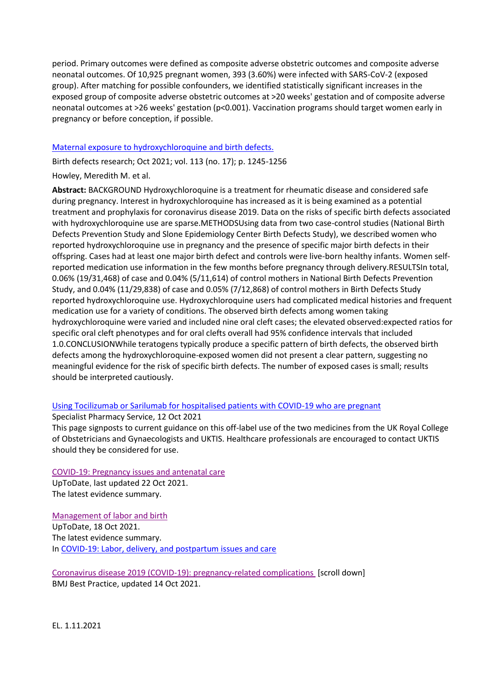period. Primary outcomes were defined as composite adverse obstetric outcomes and composite adverse neonatal outcomes. Of 10,925 pregnant women, 393 (3.60%) were infected with SARS-CoV-2 (exposed group). After matching for possible confounders, we identified statistically significant increases in the exposed group of composite adverse obstetric outcomes at >20 weeks' gestation and of composite adverse neonatal outcomes at >26 weeks' gestation (p<0.001). Vaccination programs should target women early in pregnancy or before conception, if possible.

### [Maternal exposure to hydroxychloroquine and birth defects.](https://onlinelibrary.wiley.com/doi/pdfdirect/10.1002/bdr2.1943)

Birth defects research; Oct 2021; vol. 113 (no. 17); p. 1245-1256

### Howley, Meredith M. et al.

**Abstract:** BACKGROUND Hydroxychloroquine is a treatment for rheumatic disease and considered safe during pregnancy. Interest in hydroxychloroquine has increased as it is being examined as a potential treatment and prophylaxis for coronavirus disease 2019. Data on the risks of specific birth defects associated with hydroxychloroquine use are sparse.METHODSUsing data from two case-control studies (National Birth Defects Prevention Study and Slone Epidemiology Center Birth Defects Study), we described women who reported hydroxychloroquine use in pregnancy and the presence of specific major birth defects in their offspring. Cases had at least one major birth defect and controls were live-born healthy infants. Women selfreported medication use information in the few months before pregnancy through delivery.RESULTSIn total, 0.06% (19/31,468) of case and 0.04% (5/11,614) of control mothers in National Birth Defects Prevention Study, and 0.04% (11/29,838) of case and 0.05% (7/12,868) of control mothers in Birth Defects Study reported hydroxychloroquine use. Hydroxychloroquine users had complicated medical histories and frequent medication use for a variety of conditions. The observed birth defects among women taking hydroxychloroquine were varied and included nine oral cleft cases; the elevated observed:expected ratios for specific oral cleft phenotypes and for oral clefts overall had 95% confidence intervals that included 1.0.CONCLUSIONWhile teratogens typically produce a specific pattern of birth defects, the observed birth defects among the hydroxychloroquine-exposed women did not present a clear pattern, suggesting no meaningful evidence for the risk of specific birth defects. The number of exposed cases is small; results should be interpreted cautiously.

### [Using Tocilizumab or Sarilumab for hospitalised patients with COVID-19 who are pregnant](https://www.sps.nhs.uk/articles/using-tocilizumab-or-sarilumab-for-hospitalised-patients-with-covid-19-who-are-pregnant/)

Specialist Pharmacy Service, 12 Oct 2021

This page signposts to current guidance on this off-label use of the two medicines from the UK Royal College of Obstetricians and Gynaecologists and UKTIS. Healthcare professionals are encouraged to contact UKTIS should they be considered for use.

### [COVID-19: Pregnancy issues and antenatal care](https://www.uptodate.com/contents/coronavirus-disease-2019-covid-19-pregnancy-issues)

UpToDate, last updated 22 Oct 2021. The latest evidence summary.

[Management of labor and birth](https://www.uptodate.com/contents/covid-19-labor-birth-and-postpartum-issues-and-care#H3661863553) UpToDate, 18 Oct 2021. The latest evidence summary. I[n COVID-19: Labor, delivery, and postpartum issues and care](https://www.uptodate.com/contents/covid-19-labor-delivery-and-postpartum-issues-and-care)

[Coronavirus disease 2019 \(COVID-19\): pregnancy-related complications](https://bestpractice.bmj.com/topics/en-gb/3000201/complications) [scroll down] BMJ Best Practice, updated 14 Oct 2021.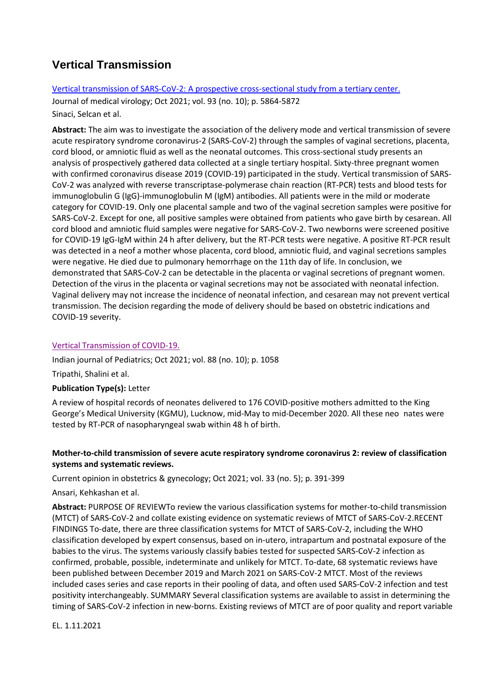### **Vertical Transmission**

### [Vertical transmission of SARS-CoV-2: A prospective cross-sectional study from a tertiary center.](https://onlinelibrary.wiley.com/doi/pdfdirect/10.1002/jmv.27128)

Journal of medical virology; Oct 2021; vol. 93 (no. 10); p. 5864-5872 Sinaci, Selcan et al.

**Abstract:** The aim was to investigate the association of the delivery mode and vertical transmission of severe acute respiratory syndrome coronavirus-2 (SARS-CoV-2) through the samples of vaginal secretions, placenta, cord blood, or amniotic fluid as well as the neonatal outcomes. This cross-sectional study presents an analysis of prospectively gathered data collected at a single tertiary hospital. Sixty-three pregnant women with confirmed coronavirus disease 2019 (COVID-19) participated in the study. Vertical transmission of SARS-CoV-2 was analyzed with reverse transcriptase-polymerase chain reaction (RT-PCR) tests and blood tests for immunoglobulin G (IgG)-immunoglobulin M (IgM) antibodies. All patients were in the mild or moderate category for COVID-19. Only one placental sample and two of the vaginal secretion samples were positive for SARS-CoV-2. Except for one, all positive samples were obtained from patients who gave birth by cesarean. All cord blood and amniotic fluid samples were negative for SARS-CoV-2. Two newborns were screened positive for COVID-19 IgG-IgM within 24 h after delivery, but the RT-PCR tests were negative. A positive RT-PCR result was detected in a neof a mother whose placenta, cord blood, amniotic fluid, and vaginal secretions samples were negative. He died due to pulmonary hemorrhage on the 11th day of life. In conclusion, we demonstrated that SARS-CoV-2 can be detectable in the placenta or vaginal secretions of pregnant women. Detection of the virus in the placenta or vaginal secretions may not be associated with neonatal infection. Vaginal delivery may not increase the incidence of neonatal infection, and cesarean may not prevent vertical transmission. The decision regarding the mode of delivery should be based on obstetric indications and COVID-19 severity.

### [Vertical Transmission of COVID-19.](https://link.springer.com/content/pdf/10.1007/s12098-021-03833-2.pdf)

Indian journal of Pediatrics; Oct 2021; vol. 88 (no. 10); p. 1058

Tripathi, Shalini et al.

### **Publication Type(s):** Letter

A review of hospital records of neonates delivered to 176 COVID-positive mothers admitted to the King George's Medical University (KGMU), Lucknow, mid-May to mid-December 2020. All these neo nates were tested by RT-PCR of nasopharyngeal swab within 48 h of birth.

### **Mother-to-child transmission of severe acute respiratory syndrome coronavirus 2: review of classification systems and systematic reviews.**

Current opinion in obstetrics & gynecology; Oct 2021; vol. 33 (no. 5); p. 391-399

Ansari, Kehkashan et al.

**Abstract:** PURPOSE OF REVIEWTo review the various classification systems for mother-to-child transmission (MTCT) of SARS-CoV-2 and collate existing evidence on systematic reviews of MTCT of SARS-CoV-2.RECENT FINDINGS To-date, there are three classification systems for MTCT of SARS-CoV-2, including the WHO classification developed by expert consensus, based on in-utero, intrapartum and postnatal exposure of the babies to the virus. The systems variously classify babies tested for suspected SARS-CoV-2 infection as confirmed, probable, possible, indeterminate and unlikely for MTCT. To-date, 68 systematic reviews have been published between December 2019 and March 2021 on SARS-CoV-2 MTCT. Most of the reviews included cases series and case reports in their pooling of data, and often used SARS-CoV-2 infection and test positivity interchangeably. SUMMARY Several classification systems are available to assist in determining the timing of SARS-CoV-2 infection in new-borns. Existing reviews of MTCT are of poor quality and report variable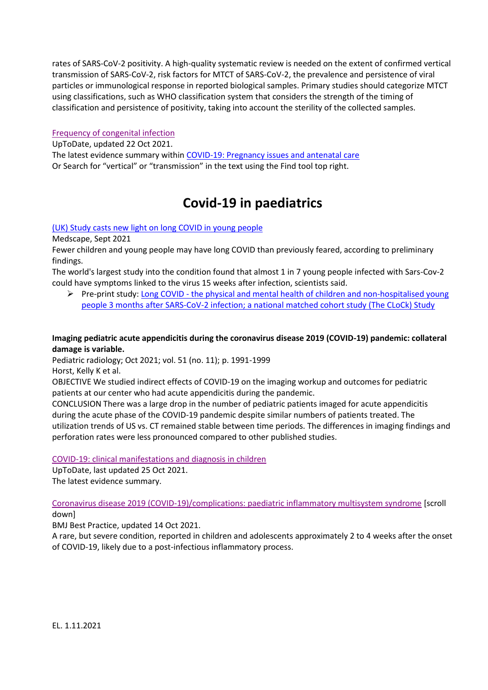rates of SARS-CoV-2 positivity. A high-quality systematic review is needed on the extent of confirmed vertical transmission of SARS-CoV-2, risk factors for MTCT of SARS-CoV-2, the prevalence and persistence of viral particles or immunological response in reported biological samples. Primary studies should categorize MTCT using classifications, such as WHO classification system that considers the strength of the timing of classification and persistence of positivity, taking into account the sterility of the collected samples.

### [Frequency of congenital infection](https://www.uptodate.com/contents/covid-19-pregnancy-issues-and-antenatal-care#H3602818199)

UpToDate, updated 22 Oct 2021.

The latest evidence summary withi[n COVID-19: Pregnancy issues and antenatal care](https://www.uptodate.com/contents/coronavirus-disease-2019-covid-19-pregnancy-issues) Or Search for "vertical" or "transmission" in the text using the Find tool top right.

### **Covid-19 in paediatrics**

### [\(UK\) Study casts new light on long COVID in young people](https://www.medscape.com/viewarticle/957948?uac=279116EY&faf=1&sso=true&impID=3688843&src=mkm_ret_211007_mscpmrk_ukmonthly_int)

Medscape, Sept 2021

Fewer children and young people may have long COVID than previously feared, according to preliminary findings.

The world's largest study into the condition found that almost 1 in 7 young people infected with Sars-Cov-2 could have symptoms linked to the virus 15 weeks after infection, scientists said.

 $\triangleright$  Pre-print study: Long COVID - the physical and mental health of children and non-hospitalised young [people 3 months after SARS-CoV-2 infection; a national matched cohort study \(The CLoCk\) Study](https://assets.researchsquare.com/files/rs-798316/v1/82480913-3b6d-47fc-9d50-096244918954.pdf?c=1632402660) 

### **Imaging pediatric acute appendicitis during the coronavirus disease 2019 (COVID-19) pandemic: collateral damage is variable.**

Pediatric radiology; Oct 2021; vol. 51 (no. 11); p. 1991-1999 Horst, Kelly K et al.

OBJECTIVE We studied indirect effects of COVID-19 on the imaging workup and outcomes for pediatric patients at our center who had acute appendicitis during the pandemic.

CONCLUSION There was a large drop in the number of pediatric patients imaged for acute appendicitis during the acute phase of the COVID-19 pandemic despite similar numbers of patients treated. The utilization trends of US vs. CT remained stable between time periods. The differences in imaging findings and perforation rates were less pronounced compared to other published studies.

### [COVID-19: clinical manifestations and diagnosis in children](https://www.uptodate.com/contents/coronavirus-disease-2019-covid-19-clinical-manifestations-and-diagnosis-in-children)

UpToDate, last updated 25 Oct 2021.

The latest evidence summary.

[Coronavirus disease 2019 \(COVID-19\)/complications: paediatric inflammatory multisystem syndrome](https://bestpractice.bmj.com/topics/en-gb/3000201/complications) [scroll down]

BMJ Best Practice, updated 14 Oct 2021.

A rare, but severe condition, reported in children and adolescents approximately 2 to 4 weeks after the onset of COVID-19, likely due to a post-infectious inflammatory process.